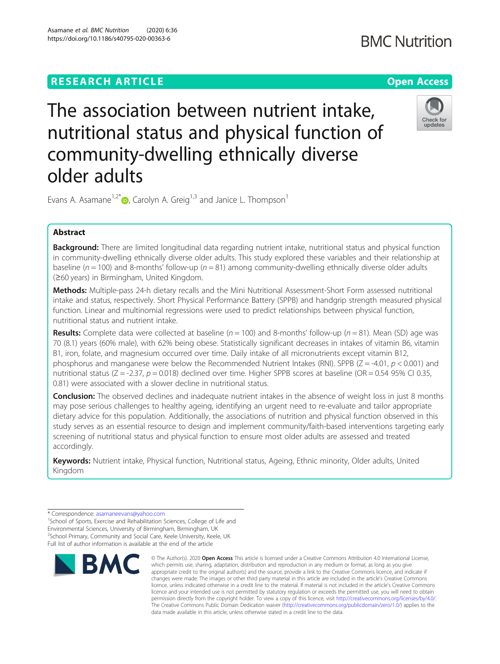# **RESEARCH ARTICLE Example 2014 12:30 The Contract of Contract ACCESS**



The association between nutrient intake, nutritional status and physical function of community-dwelling ethnically diverse older adults

Evans A. Asamane<sup>1,2[\\*](http://orcid.org/0000-0002-6430-7787)</sup>  $\bullet$ , Carolyn A. Greig<sup>1,3</sup> and Janice L. Thompson<sup>1</sup>

## Abstract

**Background:** There are limited longitudinal data regarding nutrient intake, nutritional status and physical function in community-dwelling ethnically diverse older adults. This study explored these variables and their relationship at baseline ( $n = 100$ ) and 8-months' follow-up ( $n = 81$ ) among community-dwelling ethnically diverse older adults (≥60 years) in Birmingham, United Kingdom.

Methods: Multiple-pass 24-h dietary recalls and the Mini Nutritional Assessment-Short Form assessed nutritional intake and status, respectively. Short Physical Performance Battery (SPPB) and handgrip strength measured physical function. Linear and multinomial regressions were used to predict relationships between physical function, nutritional status and nutrient intake.

**Results:** Complete data were collected at baseline ( $n = 100$ ) and 8-months' follow-up ( $n = 81$ ). Mean (SD) age was 70 (8.1) years (60% male), with 62% being obese. Statistically significant decreases in intakes of vitamin B6, vitamin B1, iron, folate, and magnesium occurred over time. Daily intake of all micronutrients except vitamin B12, phosphorus and manganese were below the Recommended Nutrient Intakes (RNI). SPPB ( $Z = -4.01$ ,  $p < 0.001$ ) and nutritional status ( $Z = -2.37$ ,  $p = 0.018$ ) declined over time. Higher SPPB scores at baseline (OR = 0.54 95% CI 0.35, 0.81) were associated with a slower decline in nutritional status.

**Conclusion:** The observed declines and inadequate nutrient intakes in the absence of weight loss in just 8 months may pose serious challenges to healthy ageing, identifying an urgent need to re-evaluate and tailor appropriate dietary advice for this population. Additionally, the associations of nutrition and physical function observed in this study serves as an essential resource to design and implement community/faith-based interventions targeting early screening of nutritional status and physical function to ensure most older adults are assessed and treated accordingly.

Keywords: Nutrient intake, Physical function, Nutritional status, Ageing, Ethnic minority, Older adults, United Kingdom

 $1$ School of Sports, Exercise and Rehabilitation Sciences, College of Life and Environmental Sciences, University of Birmingham, Birmingham, UK <sup>2</sup>School Primary, Community and Social Care, Keele University, Keele, UK Full list of author information is available at the end of the article



<sup>©</sup> The Author(s), 2020 **Open Access** This article is licensed under a Creative Commons Attribution 4.0 International License, which permits use, sharing, adaptation, distribution and reproduction in any medium or format, as long as you give appropriate credit to the original author(s) and the source, provide a link to the Creative Commons licence, and indicate if changes were made. The images or other third party material in this article are included in the article's Creative Commons licence, unless indicated otherwise in a credit line to the material. If material is not included in the article's Creative Commons licence and your intended use is not permitted by statutory regulation or exceeds the permitted use, you will need to obtain permission directly from the copyright holder. To view a copy of this licence, visit [http://creativecommons.org/licenses/by/4.0/.](http://creativecommons.org/licenses/by/4.0/) The Creative Commons Public Domain Dedication waiver [\(http://creativecommons.org/publicdomain/zero/1.0/](http://creativecommons.org/publicdomain/zero/1.0/)) applies to the data made available in this article, unless otherwise stated in a credit line to the data.

<sup>\*</sup> Correspondence: [asamaneevans@yahoo.com](mailto:asamaneevans@yahoo.com) <sup>1</sup>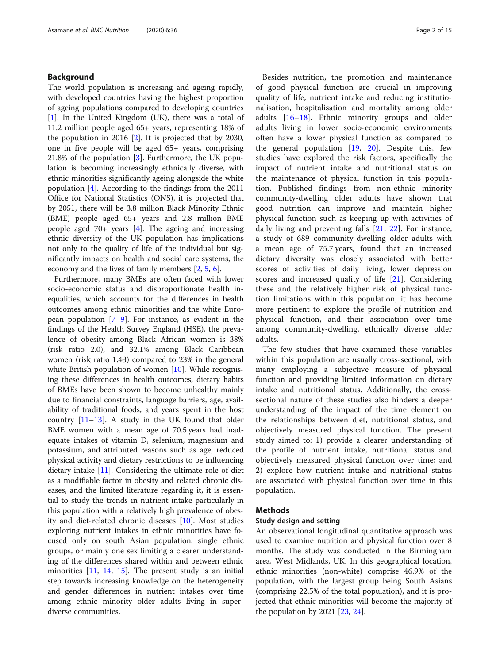## Background

The world population is increasing and ageing rapidly, with developed countries having the highest proportion of ageing populations compared to developing countries [[1\]](#page-13-0). In the United Kingdom (UK), there was a total of 11.2 million people aged 65+ years, representing 18% of the population in 2016 [[2](#page-13-0)]. It is projected that by 2030, one in five people will be aged 65+ years, comprising 21.8% of the population [[3\]](#page-13-0). Furthermore, the UK population is becoming increasingly ethnically diverse, with ethnic minorities significantly ageing alongside the white population [\[4](#page-13-0)]. According to the findings from the 2011 Office for National Statistics (ONS), it is projected that by 2051, there will be 3.8 million Black Minority Ethnic (BME) people aged 65+ years and 2.8 million BME people aged 70+ years [[4\]](#page-13-0). The ageing and increasing ethnic diversity of the UK population has implications not only to the quality of life of the individual but significantly impacts on health and social care systems, the economy and the lives of family members [[2,](#page-13-0) [5,](#page-13-0) [6\]](#page-13-0).

Furthermore, many BMEs are often faced with lower socio-economic status and disproportionate health inequalities, which accounts for the differences in health outcomes among ethnic minorities and the white European population [[7](#page-13-0)–[9\]](#page-13-0). For instance, as evident in the findings of the Health Survey England (HSE), the prevalence of obesity among Black African women is 38% (risk ratio 2.0), and 32.1% among Black Caribbean women (risk ratio 1.43) compared to 23% in the general white British population of women [[10\]](#page-13-0). While recognising these differences in health outcomes, dietary habits of BMEs have been shown to become unhealthy mainly due to financial constraints, language barriers, age, availability of traditional foods, and years spent in the host country  $[11-13]$  $[11-13]$  $[11-13]$ . A study in the UK found that older BME women with a mean age of 70.5 years had inadequate intakes of vitamin D, selenium, magnesium and potassium, and attributed reasons such as age, reduced physical activity and dietary restrictions to be influencing dietary intake [\[11](#page-13-0)]. Considering the ultimate role of diet as a modifiable factor in obesity and related chronic diseases, and the limited literature regarding it, it is essential to study the trends in nutrient intake particularly in this population with a relatively high prevalence of obesity and diet-related chronic diseases [\[10\]](#page-13-0). Most studies exploring nutrient intakes in ethnic minorities have focused only on south Asian population, single ethnic groups, or mainly one sex limiting a clearer understanding of the differences shared within and between ethnic minorities [[11,](#page-13-0) [14,](#page-13-0) [15](#page-13-0)]. The present study is an initial step towards increasing knowledge on the heterogeneity and gender differences in nutrient intakes over time among ethnic minority older adults living in superdiverse communities.

Besides nutrition, the promotion and maintenance of good physical function are crucial in improving quality of life, nutrient intake and reducing institutionalisation, hospitalisation and mortality among older adults [[16](#page-13-0)–[18\]](#page-13-0). Ethnic minority groups and older adults living in lower socio-economic environments often have a lower physical function as compared to the general population [\[19](#page-13-0), [20\]](#page-13-0). Despite this, few studies have explored the risk factors, specifically the impact of nutrient intake and nutritional status on the maintenance of physical function in this population. Published findings from non-ethnic minority community-dwelling older adults have shown that good nutrition can improve and maintain higher physical function such as keeping up with activities of daily living and preventing falls [[21,](#page-13-0) [22](#page-13-0)]. For instance, a study of 689 community-dwelling older adults with a mean age of 75.7 years, found that an increased dietary diversity was closely associated with better scores of activities of daily living, lower depression scores and increased quality of life [[21\]](#page-13-0). Considering these and the relatively higher risk of physical function limitations within this population, it has become more pertinent to explore the profile of nutrition and physical function, and their association over time among community-dwelling, ethnically diverse older adults.

The few studies that have examined these variables within this population are usually cross-sectional, with many employing a subjective measure of physical function and providing limited information on dietary intake and nutritional status. Additionally, the crosssectional nature of these studies also hinders a deeper understanding of the impact of the time element on the relationships between diet, nutritional status, and objectively measured physical function. The present study aimed to: 1) provide a clearer understanding of the profile of nutrient intake, nutritional status and objectively measured physical function over time; and 2) explore how nutrient intake and nutritional status are associated with physical function over time in this population.

## Methods

## Study design and setting

An observational longitudinal quantitative approach was used to examine nutrition and physical function over 8 months. The study was conducted in the Birmingham area, West Midlands, UK. In this geographical location, ethnic minorities (non-white) comprise 46.9% of the population, with the largest group being South Asians (comprising 22.5% of the total population), and it is projected that ethnic minorities will become the majority of the population by 2021 [[23,](#page-13-0) [24](#page-13-0)].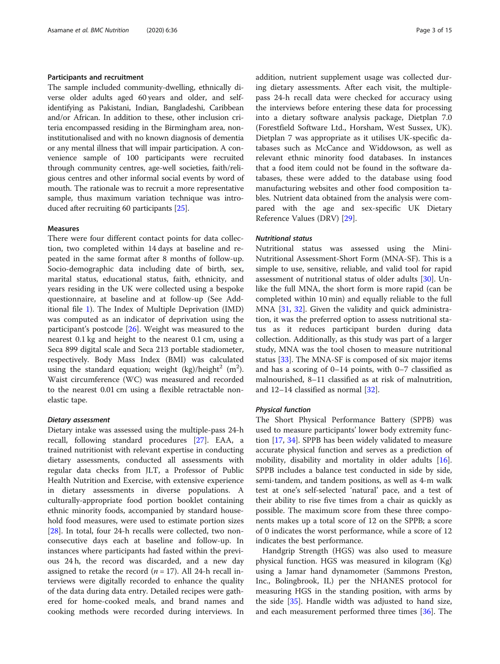## Participants and recruitment

The sample included community-dwelling, ethnically diverse older adults aged 60 years and older, and selfidentifying as Pakistani, Indian, Bangladeshi, Caribbean and/or African. In addition to these, other inclusion criteria encompassed residing in the Birmingham area, noninstitutionalised and with no known diagnosis of dementia or any mental illness that will impair participation. A convenience sample of 100 participants were recruited through community centres, age-well societies, faith/religious centres and other informal social events by word of mouth. The rationale was to recruit a more representative sample, thus maximum variation technique was introduced after recruiting 60 participants [[25](#page-13-0)].

## Measures

There were four different contact points for data collection, two completed within 14 days at baseline and repeated in the same format after 8 months of follow-up. Socio-demographic data including date of birth, sex, marital status, educational status, faith, ethnicity, and years residing in the UK were collected using a bespoke questionnaire, at baseline and at follow-up (See Additional file [1](#page-12-0)). The Index of Multiple Deprivation (IMD) was computed as an indicator of deprivation using the participant's postcode [[26\]](#page-13-0). Weight was measured to the nearest 0.1 kg and height to the nearest 0.1 cm, using a Seca 899 digital scale and Seca 213 portable stadiometer, respectively. Body Mass Index (BMI) was calculated using the standard equation; weight  $(kg)/\hbox{height}^2$   $(m^2)$ . Waist circumference (WC) was measured and recorded to the nearest 0.01 cm using a flexible retractable nonelastic tape.

## Dietary assessment

Dietary intake was assessed using the multiple-pass 24-h recall, following standard procedures [[27](#page-13-0)]. EAA, a trained nutritionist with relevant expertise in conducting dietary assessments, conducted all assessments with regular data checks from JLT, a Professor of Public Health Nutrition and Exercise, with extensive experience in dietary assessments in diverse populations. A culturally-appropriate food portion booklet containing ethnic minority foods, accompanied by standard household food measures, were used to estimate portion sizes [[28\]](#page-13-0). In total, four 24-h recalls were collected, two nonconsecutive days each at baseline and follow-up. In instances where participants had fasted within the previous 24 h, the record was discarded, and a new day assigned to retake the record ( $n = 17$ ). All 24-h recall interviews were digitally recorded to enhance the quality of the data during data entry. Detailed recipes were gathered for home-cooked meals, and brand names and cooking methods were recorded during interviews. In addition, nutrient supplement usage was collected during dietary assessments. After each visit, the multiplepass 24-h recall data were checked for accuracy using the interviews before entering these data for processing into a dietary software analysis package, Dietplan 7.0 (Forestfield Software Ltd., Horsham, West Sussex, UK). Dietplan 7 was appropriate as it utilises UK-specific databases such as McCance and Widdowson, as well as relevant ethnic minority food databases. In instances that a food item could not be found in the software databases, these were added to the database using food manufacturing websites and other food composition tables. Nutrient data obtained from the analysis were compared with the age and sex-specific UK Dietary Reference Values (DRV) [\[29\]](#page-13-0).

## Nutritional status

Nutritional status was assessed using the Mini-Nutritional Assessment-Short Form (MNA-SF). This is a simple to use, sensitive, reliable, and valid tool for rapid assessment of nutritional status of older adults [\[30\]](#page-13-0). Unlike the full MNA, the short form is more rapid (can be completed within 10 min) and equally reliable to the full MNA [\[31,](#page-13-0) [32\]](#page-13-0). Given the validity and quick administration, it was the preferred option to assess nutritional status as it reduces participant burden during data collection. Additionally, as this study was part of a larger study, MNA was the tool chosen to measure nutritional status [\[33](#page-13-0)]. The MNA-SF is composed of six major items and has a scoring of 0–14 points, with 0–7 classified as malnourished, 8–11 classified as at risk of malnutrition, and 12–14 classified as normal [\[32](#page-13-0)].

## Physical function

The Short Physical Performance Battery (SPPB) was used to measure participants' lower body extremity function [\[17](#page-13-0), [34](#page-13-0)]. SPPB has been widely validated to measure accurate physical function and serves as a prediction of mobility, disability and mortality in older adults [\[16](#page-13-0)]. SPPB includes a balance test conducted in side by side, semi-tandem, and tandem positions, as well as 4-m walk test at one's self-selected 'natural' pace, and a test of their ability to rise five times from a chair as quickly as possible. The maximum score from these three components makes up a total score of 12 on the SPPB; a score of 0 indicates the worst performance, while a score of 12 indicates the best performance.

Handgrip Strength (HGS) was also used to measure physical function. HGS was measured in kilogram (Kg) using a Jamar hand dynamometer (Sammons Preston, Inc., Bolingbrook, IL) per the NHANES protocol for measuring HGS in the standing position, with arms by the side [\[35](#page-13-0)]. Handle width was adjusted to hand size, and each measurement performed three times [[36](#page-13-0)]. The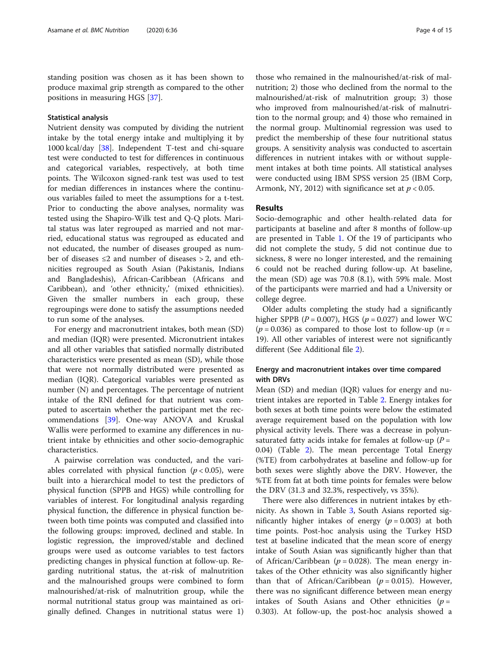standing position was chosen as it has been shown to produce maximal grip strength as compared to the other positions in measuring HGS [[37](#page-13-0)].

## Statistical analysis

Nutrient density was computed by dividing the nutrient intake by the total energy intake and multiplying it by 1000 kcal/day [[38](#page-13-0)]. Independent T-test and chi-square test were conducted to test for differences in continuous and categorical variables, respectively, at both time points. The Wilcoxon signed-rank test was used to test for median differences in instances where the continuous variables failed to meet the assumptions for a t-test. Prior to conducting the above analyses, normality was tested using the Shapiro-Wilk test and Q-Q plots. Marital status was later regrouped as married and not married, educational status was regrouped as educated and not educated, the number of diseases grouped as number of diseases  $\leq 2$  and number of diseases  $> 2$ , and ethnicities regrouped as South Asian (Pakistanis, Indians and Bangladeshis), African-Caribbean (Africans and Caribbean), and 'other ethnicity,' (mixed ethnicities). Given the smaller numbers in each group, these regroupings were done to satisfy the assumptions needed to run some of the analyses.

For energy and macronutrient intakes, both mean (SD) and median (IQR) were presented. Micronutrient intakes and all other variables that satisfied normally distributed characteristics were presented as mean (SD), while those that were not normally distributed were presented as median (IQR). Categorical variables were presented as number (N) and percentages. The percentage of nutrient intake of the RNI defined for that nutrient was computed to ascertain whether the participant met the recommendations [[39\]](#page-13-0). One-way ANOVA and Kruskal Wallis were performed to examine any differences in nutrient intake by ethnicities and other socio-demographic characteristics.

A pairwise correlation was conducted, and the variables correlated with physical function  $(p < 0.05)$ , were built into a hierarchical model to test the predictors of physical function (SPPB and HGS) while controlling for variables of interest. For longitudinal analysis regarding physical function, the difference in physical function between both time points was computed and classified into the following groups: improved, declined and stable. In logistic regression, the improved/stable and declined groups were used as outcome variables to test factors predicting changes in physical function at follow-up. Regarding nutritional status, the at-risk of malnutrition and the malnourished groups were combined to form malnourished/at-risk of malnutrition group, while the normal nutritional status group was maintained as originally defined. Changes in nutritional status were 1)

those who remained in the malnourished/at-risk of malnutrition; 2) those who declined from the normal to the malnourished/at-risk of malnutrition group; 3) those who improved from malnourished/at-risk of malnutrition to the normal group; and 4) those who remained in the normal group. Multinomial regression was used to predict the membership of these four nutritional status groups. A sensitivity analysis was conducted to ascertain differences in nutrient intakes with or without supplement intakes at both time points. All statistical analyses were conducted using IBM SPSS version 25 (IBM Corp, Armonk, NY, 2012) with significance set at  $p < 0.05$ .

## Results

Socio-demographic and other health-related data for participants at baseline and after 8 months of follow-up are presented in Table [1.](#page-4-0) Of the 19 of participants who did not complete the study, 5 did not continue due to sickness, 8 were no longer interested, and the remaining 6 could not be reached during follow-up. At baseline, the mean (SD) age was 70.8 (8.1), with 59% male. Most of the participants were married and had a University or college degree.

Older adults completing the study had a significantly higher SPPB ( $P = 0.007$ ), HGS ( $p = 0.027$ ) and lower WC ( $p = 0.036$ ) as compared to those lost to follow-up ( $n =$ 19). All other variables of interest were not significantly different (See Additional file [2](#page-12-0)).

## Energy and macronutrient intakes over time compared with DRVs

Mean (SD) and median (IQR) values for energy and nutrient intakes are reported in Table [2](#page-5-0). Energy intakes for both sexes at both time points were below the estimated average requirement based on the population with low physical activity levels. There was a decrease in polyunsaturated fatty acids intake for females at follow-up ( $P =$ 0.04) (Table [2\)](#page-5-0). The mean percentage Total Energy (%TE) from carbohydrates at baseline and follow-up for both sexes were slightly above the DRV. However, the %TE from fat at both time points for females were below the DRV (31.3 and 32.3%, respectively, vs 35%).

There were also differences in nutrient intakes by ethnicity. As shown in Table [3](#page-6-0), South Asians reported significantly higher intakes of energy ( $p = 0.003$ ) at both time points. Post-hoc analysis using the Turkey HSD test at baseline indicated that the mean score of energy intake of South Asian was significantly higher than that of African/Caribbean ( $p = 0.028$ ). The mean energy intakes of the Other ethnicity was also significantly higher than that of African/Caribbean ( $p = 0.015$ ). However, there was no significant difference between mean energy intakes of South Asians and Other ethnicities ( $p =$ 0.303). At follow-up, the post-hoc analysis showed a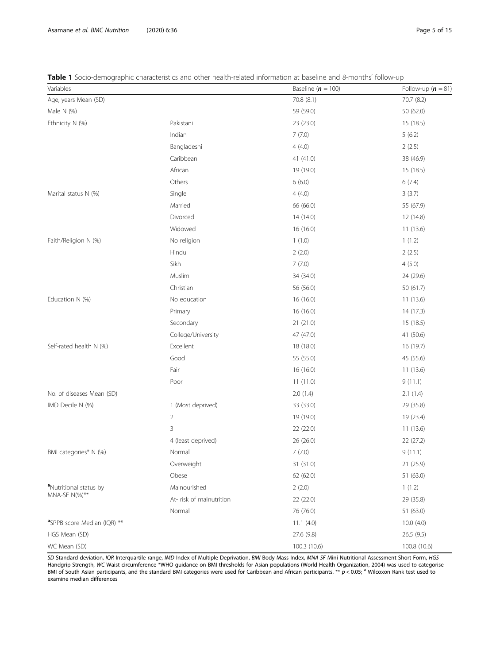<span id="page-4-0"></span>Table 1 Socio-demographic characteristics and other health-related information at baseline and 8-months' follow-up

| Variables                               |                         | Baseline $(n = 100)$ | Follow-up $(n = 81)$ |
|-----------------------------------------|-------------------------|----------------------|----------------------|
| Age, years Mean (SD)                    |                         | 70.8 (8.1)           | 70.7 (8.2)           |
| Male N (%)                              |                         | 59 (59.0)            | 50 (62.0)            |
| Ethnicity N (%)                         | Pakistani               | 23 (23.0)            | 15 (18.5)            |
|                                         | Indian                  | 7(7.0)               | 5(6.2)               |
|                                         | Bangladeshi             | 4(4.0)               | 2(2.5)               |
|                                         | Caribbean               | 41 (41.0)            | 38 (46.9)            |
|                                         | African                 | 19 (19.0)            | 15 (18.5)            |
|                                         | Others                  | 6(6.0)               | 6(7.4)               |
| Marital status N (%)                    | Single                  | 4(4.0)               | 3(3.7)               |
|                                         | Married                 | 66 (66.0)            | 55 (67.9)            |
|                                         | Divorced                | 14 (14.0)            | 12 (14.8)            |
|                                         | Widowed                 | 16 (16.0)            | 11(13.6)             |
| Faith/Religion N (%)                    | No religion             | 1(1.0)               | 1(1.2)               |
|                                         | Hindu                   | 2(2.0)               | 2(2.5)               |
|                                         | Sikh                    | 7(7.0)               | 4(5.0)               |
|                                         | Muslim                  | 34 (34.0)            | 24 (29.6)            |
|                                         | Christian               | 56 (56.0)            | 50 (61.7)            |
| Education N (%)                         | No education            | 16 (16.0)            | 11(13.6)             |
|                                         | Primary                 | 16 (16.0)            | 14 (17.3)            |
|                                         | Secondary               | 21(21.0)             | 15 (18.5)            |
|                                         | College/University      | 47 (47.0)            | 41 (50.6)            |
| Self-rated health N (%)                 | Excellent               | 18 (18.0)            | 16 (19.7)            |
|                                         | Good                    | 55 (55.0)            | 45 (55.6)            |
|                                         | Fair                    | 16(16.0)             | 11(13.6)             |
|                                         | Poor                    | 11(11.0)             | 9(11.1)              |
| No. of diseases Mean (SD)               |                         | 2.0(1.4)             | 2.1(1.4)             |
| IMD Decile N (%)                        | 1 (Most deprived)       | 33 (33.0)            | 29 (35.8)            |
|                                         | $\overline{2}$          | 19 (19.0)            | 19 (23.4)            |
|                                         | 3                       | 22 (22.0)            | 11(13.6)             |
|                                         | 4 (least deprived)      | 26 (26.0)            | 22 (27.2)            |
| BMI categories* N (%)                   | Normal                  | 7(7.0)               | 9(11.1)              |
|                                         | Overweight              | 31 (31.0)            | 21 (25.9)            |
|                                         | Obese                   | 62 (62.0)            | 51 (63.0)            |
| <sup>a</sup> Nutritional status by      | Malnourished            | 2(2.0)               | 1(1.2)               |
| MNA-SF N(%)**                           | At-risk of malnutrition | 22 (22.0)            | 29 (35.8)            |
|                                         | Normal                  | 76 (76.0)            | 51 (63.0)            |
| <sup>a</sup> SPPB score Median (IQR) ** |                         | 11.1(4.0)            | 10.0(4.0)            |
| HGS Mean (SD)                           |                         | 27.6 (9.8)           | 26.5(9.5)            |
| WC Mean (SD)                            |                         | 100.3 (10.6)         | 100.8 (10.6)         |

SD Standard deviation, IQR Interquartile range, IMD Index of Multiple Deprivation, BMI Body Mass Index, MNA-SF Mini-Nutritional Assessment-Short Form, HGS<br>Handgrip Strength, WC Waist circumference \*WHO guidance on BMI thre Handgrip Strength, WC Waist circumference \*WHO guidance on BMI thresholds for Asian populations (World Health Organization, 2004) was used to categorise<br>BMI of South Asian participants, and the standard BMI categories were examine median differences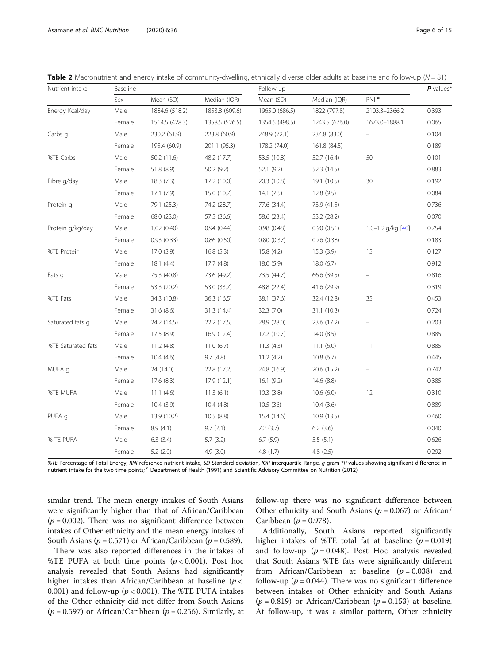| Nutrient intake    | Baseline |                |                | Follow-up      | $P$ -values*   |                   |       |
|--------------------|----------|----------------|----------------|----------------|----------------|-------------------|-------|
|                    | Sex      | Mean (SD)      | Median (IQR)   | Mean (SD)      | Median (IQR)   | $RNI$ $a$         |       |
| Energy Kcal/day    | Male     | 1884.6 (518.2) | 1853.8 (609.6) | 1965.0 (686.5) | 1822 (797.8)   | 2103.3-2366.2     | 0.393 |
|                    | Female   | 1514.5 (428.3) | 1358.5 (526.5) | 1354.5 (498.5) | 1243.5 (676.0) | 1673.0-1888.1     |       |
| Carbs g            | Male     | 230.2 (61.9)   | 223.8 (60.9)   | 248.9 (72.1)   | 234.8 (83.0)   |                   | 0.104 |
|                    | Female   | 195.4 (60.9)   | 201.1 (95.3)   | 178.2 (74.0)   | 161.8 (84.5)   |                   | 0.189 |
| %TE Carbs          | Male     | 50.2 (11.6)    | 48.2 (17.7)    | 53.5 (10.8)    | 52.7 (16.4)    | 50                | 0.101 |
|                    | Female   | 51.8 (8.9)     | 50.2(9.2)      | 52.1 (9.2)     | 52.3 (14.5)    |                   | 0.883 |
| Fibre g/day        | Male     | 18.3(7.3)      | 17.2 (10.0)    | 20.3 (10.8)    | 19.1(10.5)     | 30                | 0.192 |
|                    | Female   | 17.1(7.9)      | 15.0(10.7)     | 14.1(7.5)      | 12.8(9.5)      |                   | 0.084 |
| Protein q          | Male     | 79.1 (25.3)    | 74.2 (28.7)    | 77.6 (34.4)    | 73.9 (41.5)    |                   | 0.736 |
|                    | Female   | 68.0 (23.0)    | 57.5 (36.6)    | 58.6 (23.4)    | 53.2 (28.2)    |                   | 0.070 |
| Protein g/kg/day   | Male     | 1.02(0.40)     | 0.94(0.44)     | 0.98(0.48)     | 0.90(0.51)     | 1.0-1.2 g/kg [40] | 0.754 |
|                    | Female   | 0.93(0.33)     | 0.86(0.50)     | 0.80(0.37)     | 0.76(0.38)     |                   | 0.183 |
| %TE Protein        | Male     | 17.0(3.9)      | 16.8(5.3)      | 15.8(4.2)      | 15.3(3.9)      | 15                | 0.127 |
|                    | Female   | 18.1(4.4)      | 17.7 (4.8)     | 18.0(5.9)      | 18.0(6.7)      |                   | 0.912 |
| Fats g             | Male     | 75.3 (40.8)    | 73.6 (49.2)    | 73.5 (44.7)    | 66.6 (39.5)    |                   | 0.816 |
|                    | Female   | 53.3 (20.2)    | 53.0 (33.7)    | 48.8 (22.4)    | 41.6 (29.9)    |                   | 0.319 |
| %TE Fats           | Male     | 34.3 (10.8)    | 36.3 (16.5)    | 38.1 (37.6)    | 32.4 (12.8)    | 35                | 0.453 |
|                    | Female   | 31.6 (8.6)     | 31.3 (14.4)    | 32.3 (7.0)     | 31.1 (10.3)    |                   | 0.724 |
| Saturated fats g   | Male     | 24.2 (14.5)    | 22.2(17.5)     | 28.9 (28.0)    | 23.6 (17.2)    | $\equiv$          | 0.203 |
|                    | Female   | 17.5(8.9)      | 16.9(12.4)     | 17.2 (10.7)    | 14.0 (8.5)     |                   | 0.885 |
| %TE Saturated fats | Male     | 11.2(4.8)      | 11.0(6.7)      | 11.3(4.3)      | 11.1(6.0)      | 11                | 0.885 |
|                    | Female   | 10.4(4.6)      | 9.7(4.8)       | 11.2(4.2)      | 10.8(6.7)      |                   | 0.445 |
| MUFA q             | Male     | 24 (14.0)      | 22.8 (17.2)    | 24.8 (16.9)    | 20.6 (15.2)    |                   | 0.742 |
|                    | Female   | 17.6(8.3)      | 17.9(12.1)     | 16.1(9.2)      | 14.6(8.8)      |                   | 0.385 |
| %TE MUFA           | Male     | 11.1(4.6)      | 11.3(6.1)      | 10.3(3.8)      | 10.6(6.0)      | 12                | 0.310 |
|                    | Female   | 10.4(3.9)      | 10.4(4.8)      | 10.5 (36)      | 10.4(3.6)      |                   | 0.889 |
| PUFA q             | Male     | 13.9 (10.2)    | 10.5 (8.8)     | 15.4 (14.6)    | 10.9(13.5)     |                   | 0.460 |
|                    | Female   | 8.9(4.1)       | 9.7(7.1)       | 7.2(3.7)       | 6.2(3.6)       |                   | 0.040 |
| % TE PUFA          | Male     | 6.3(3.4)       | 5.7(3.2)       | 6.7(5.9)       | 5.5(5.1)       |                   | 0.626 |
|                    | Female   | 5.2(2.0)       | 4.9(3.0)       | 4.8(1.7)       | 4.8(2.5)       |                   | 0.292 |

<span id="page-5-0"></span>Table 2 Macronutrient and energy intake of community-dwelling, ethnically diverse older adults at baseline and follow-up ( $N = 81$ )

%TE Percentage of Total Energy, RNI reference nutrient intake, SD Standard deviation, IQR interquartile Range, g gram \*P values showing significant difference in nutrient intake for the two time points; <sup>a</sup> Department of Health (1991) and Scientific Advisory Committee on Nutrition (2012)

similar trend. The mean energy intakes of South Asians were significantly higher than that of African/Caribbean  $(p = 0.002)$ . There was no significant difference between intakes of Other ethnicity and the mean energy intakes of South Asians ( $p = 0.571$ ) or African/Caribbean ( $p = 0.589$ ).

There was also reported differences in the intakes of %TE PUFA at both time points  $(p < 0.001)$ . Post hoc analysis revealed that South Asians had significantly higher intakes than African/Caribbean at baseline  $(p <$ 0.001) and follow-up ( $p < 0.001$ ). The %TE PUFA intakes of the Other ethnicity did not differ from South Asians  $(p = 0.597)$  or African/Caribbean  $(p = 0.256)$ . Similarly, at follow-up there was no significant difference between Other ethnicity and South Asians ( $p = 0.067$ ) or African/ Caribbean ( $p = 0.978$ ).

Additionally, South Asians reported significantly higher intakes of %TE total fat at baseline  $(p = 0.019)$ and follow-up ( $p = 0.048$ ). Post Hoc analysis revealed that South Asians %TE fats were significantly different from African/Caribbean at baseline  $(p = 0.038)$  and follow-up ( $p = 0.044$ ). There was no significant difference between intakes of Other ethnicity and South Asians  $(p = 0.819)$  or African/Caribbean  $(p = 0.153)$  at baseline. At follow-up, it was a similar pattern, Other ethnicity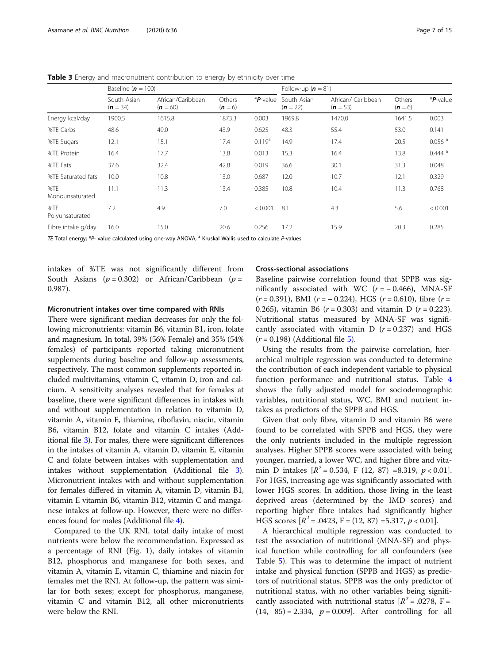| South Asian<br>$(n = 34)$<br>1900.5<br>48.6 | African/Caribbean<br>$(n = 60)$<br>1615.8 | Others<br>$(n=6)$<br>1873.3 | *P-value           | South Asian<br>$(n = 22)$ | African/ Caribbean | Others  | *P-value             |
|---------------------------------------------|-------------------------------------------|-----------------------------|--------------------|---------------------------|--------------------|---------|----------------------|
|                                             |                                           |                             |                    |                           | $(n = 53)$         | $(n=6)$ |                      |
|                                             |                                           |                             | 0.003              | 1969.8                    | 1470.0             | 1641.5  | 0.003                |
|                                             | 49.0                                      | 43.9                        | 0.625              | 48.3                      | 55.4               | 53.0    | 0.141                |
| 12.1                                        | 15.1                                      | 17.4                        | 0.119 <sup>a</sup> | 14.9                      | 17.4               | 20.5    | $0.056$ <sup>a</sup> |
| 16.4                                        | 17.7                                      | 13.8                        | 0.013              | 15.3                      | 16.4               | 13.8    | $0.444$ <sup>a</sup> |
| 37.6                                        | 32.4                                      | 42.8                        | 0.019              | 36.6                      | 30.1               | 31.3    | 0.048                |
| 10.0                                        | 10.8                                      | 13.0                        | 0.687              | 12.0                      | 10.7               | 12.1    | 0.329                |
| 11.1                                        | 11.3                                      | 13.4                        | 0.385              | 10.8                      | 10.4               | 11.3    | 0.768                |
| 7.2                                         | 4.9                                       | 7.0                         | < 0.001            | 8.1                       | 4.3                | 5.6     | < 0.001              |
| 16.0                                        | 15.0                                      | 20.6                        | 0.256              | 17.2                      | 15.9               | 20.3    | 0.285                |
|                                             |                                           |                             |                    |                           |                    |         |                      |

<span id="page-6-0"></span>**Table 3** Energy and macronutrient contribution to energy by ethnicity over time

TE Total energy; \*P- value calculated using one-way ANOVA;  $^{\text{a}}$  Kruskal Wallis used to calculate P-values

intakes of %TE was not significantly different from South Asians ( $p = 0.302$ ) or African/Caribbean ( $p =$ 0.987).

## Micronutrient intakes over time compared with RNIs

There were significant median decreases for only the following micronutrients: vitamin B6, vitamin B1, iron, folate and magnesium. In total, 39% (56% Female) and 35% (54% females) of participants reported taking micronutrient supplements during baseline and follow-up assessments, respectively. The most common supplements reported included multivitamins, vitamin C, vitamin D, iron and calcium. A sensitivity analyses revealed that for females at baseline, there were significant differences in intakes with and without supplementation in relation to vitamin D, vitamin A, vitamin E, thiamine, riboflavin, niacin, vitamin B6, vitamin B12, folate and vitamin C intakes (Additional file [3\)](#page-12-0). For males, there were significant differences in the intakes of vitamin A, vitamin D, vitamin E, vitamin C and folate between intakes with supplementation and intakes without supplementation (Additional file [3](#page-12-0)). Micronutrient intakes with and without supplementation for females differed in vitamin A, vitamin D, vitamin B1, vitamin E vitamin B6, vitamin B12, vitamin C and manganese intakes at follow-up. However, there were no differences found for males (Additional file [4](#page-12-0)).

Compared to the UK RNI, total daily intake of most nutrients were below the recommendation. Expressed as a percentage of RNI (Fig. [1](#page-7-0)), daily intakes of vitamin B12, phosphorus and manganese for both sexes, and vitamin A, vitamin E, vitamin C, thiamine and niacin for females met the RNI. At follow-up, the pattern was similar for both sexes; except for phosphorus, manganese, vitamin C and vitamin B12, all other micronutrients were below the RNI.

## Cross-sectional associations

Baseline pairwise correlation found that SPPB was significantly associated with WC  $(r = -0.466)$ , MNA-SF  $(r = 0.391)$ , BMI  $(r = -0.224)$ , HGS  $(r = 0.610)$ , fibre  $(r =$ 0.265), vitamin B6 ( $r = 0.303$ ) and vitamin D ( $r = 0.223$ ). Nutritional status measured by MNA-SF was significantly associated with vitamin  $D$  ( $r = 0.237$ ) and HGS  $(r = 0.198)$  (Additional file [5\)](#page-12-0).

Using the results from the pairwise correlation, hierarchical multiple regression was conducted to determine the contribution of each independent variable to physical function performance and nutritional status. Table [4](#page-8-0) shows the fully adjusted model for sociodemographic variables, nutritional status, WC, BMI and nutrient intakes as predictors of the SPPB and HGS.

Given that only fibre, vitamin D and vitamin B6 were found to be correlated with SPPB and HGS, they were the only nutrients included in the multiple regression analyses. Higher SPPB scores were associated with being younger, married, a lower WC, and higher fibre and vitamin D intakes  $[R^2 = 0.534, F (12, 87) = 8.319, p < 0.01]$ . For HGS, increasing age was significantly associated with lower HGS scores. In addition, those living in the least deprived areas (determined by the IMD scores) and reporting higher fibre intakes had significantly higher HGS scores  $[R^2 = .0423, F = (12, 87) = 5.317, p < 0.01]$ .

A hierarchical multiple regression was conducted to test the association of nutritional (MNA-SF) and physical function while controlling for all confounders (see Table [5\)](#page-8-0). This was to determine the impact of nutrient intake and physical function (SPPB and HGS) as predictors of nutritional status. SPPB was the only predictor of nutritional status, with no other variables being significantly associated with nutritional status  $[R^2 = .0278, F = ]$  $(14, 85) = 2.334, p = 0.009$ . After controlling for all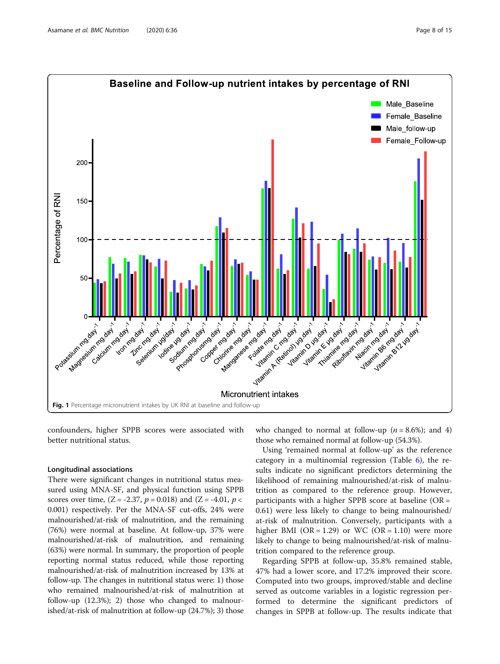<span id="page-7-0"></span>

confounders, higher SPPB scores were associated with better nutritional status.

## Longitudinal associations

There were significant changes in nutritional status measured using MNA-SF, and physical function using SPPB scores over time,  $(Z = -2.37, p = 0.018)$  and  $(Z = -4.01, p <$ 0.001) respectively. Per the MNA-SF cut-offs, 24% were malnourished/at-risk of malnutrition, and the remaining (76%) were normal at baseline. At follow-up, 37% were malnourished/at-risk of malnutrition, and remaining (63%) were normal. In summary, the proportion of people reporting normal status reduced, while those reporting malnourished/at-risk of malnutrition increased by 13% at follow-up. The changes in nutritional status were: 1) those who remained malnourished/at-risk of malnutrition at follow-up (12.3%); 2) those who changed to malnourished/at-risk of malnutrition at follow-up (24.7%); 3) those who changed to normal at follow-up ( $n = 8.6\%$ ); and 4) those who remained normal at follow-up (54.3%).

Using 'remained normal at follow-up' as the reference category in a multinomial regression (Table  $6$ ), the results indicate no significant predictors determining the likelihood of remaining malnourished/at-risk of malnutrition as compared to the reference group. However, participants with a higher SPPB score at baseline (OR = 0.61) were less likely to change to being malnourished/ at-risk of malnutrition. Conversely, participants with a higher BMI (OR = 1.29) or WC (OR = 1.10) were more likely to change to being malnourished/at-risk of malnutrition compared to the reference group.

Regarding SPPB at follow-up, 35.8% remained stable, 47% had a lower score, and 17.2% improved their score. Computed into two groups, improved/stable and decline served as outcome variables in a logistic regression performed to determine the significant predictors of changes in SPPB at follow-up. The results indicate that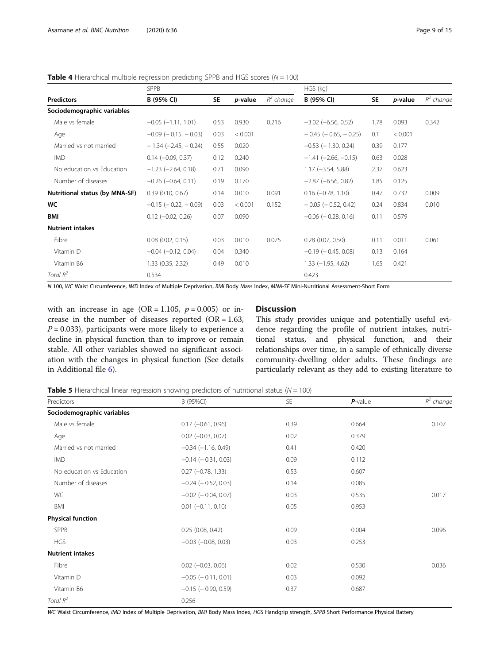|                                | <b>SPPB</b>                   |           |                 | HGS (kg)     |                               |           |         |              |
|--------------------------------|-------------------------------|-----------|-----------------|--------------|-------------------------------|-----------|---------|--------------|
| <b>Predictors</b>              | B (95% CI)                    | <b>SE</b> | <i>p</i> -value | $R^2$ change | B (95% CI)                    | <b>SE</b> | p-value | $R^2$ change |
| Sociodemographic variables     |                               |           |                 |              |                               |           |         |              |
| Male vs female                 | $-0.05$ $(-1.11, 1.01)$       | 0.53      | 0.930           | 0.216        | $-3.02$ ( $-6.56$ , 0.52)     | 1.78      | 0.093   | 0.342        |
| Age                            | $-0.09$ ( $-0.15$ , $-0.03$ ) | 0.03      | < 0.001         |              | $-0.45$ ( $-0.65$ , $-0.25$ ) | 0.1       | < 0.001 |              |
| Married vs not married         | $-1.34 (-2.45, -0.24)$        | 0.55      | 0.020           |              | $-0.53$ ( $-1.30$ , 0.24)     | 0.39      | 0.177   |              |
| <b>IMD</b>                     | $0.14 (-0.09, 0.37)$          | 0.12      | 0.240           |              | $-1.41$ (-2.66, -0.15)        | 0.63      | 0.028   |              |
| No education vs Education      | $-1.23$ ( $-2.64$ , 0.18)     | 0.71      | 0.090           |              | $1.17 (-3.54, 5.88)$          | 2.37      | 0.623   |              |
| Number of diseases             | $-0.26$ ( $-0.64$ , 0.11)     | 0.19      | 0.170           |              | $-2.87$ ( $-6.56$ , 0.82)     | 1.85      | 0.125   |              |
| Nutritional status (by MNA-SF) | 0.39(0.10, 0.67)              | 0.14      | 0.010           | 0.091        | $0.16$ ( $-0.78$ , 1.10)      | 0.47      | 0.732   | 0.009        |
| <b>WC</b>                      | $-0.15$ ( $-0.22$ , $-0.09$ ) | 0.03      | < 0.001         | 0.152        | $-0.05$ ( $-0.52$ , 0.42)     | 0.24      | 0.834   | 0.010        |
| <b>BMI</b>                     | $0.12 (-0.02, 0.26)$          | 0.07      | 0.090           |              | $-0.06$ ( $-0.28$ , 0.16)     | 0.11      | 0.579   |              |
| <b>Nutrient intakes</b>        |                               |           |                 |              |                               |           |         |              |
| Fibre                          | $0.08$ $(0.02, 0.15)$         | 0.03      | 0.010           | 0.075        | $0.28$ (0.07, 0.50)           | 0.11      | 0.011   | 0.061        |
| Vitamin D                      | $-0.04$ $(-0.12, 0.04)$       | 0.04      | 0.340           |              | $-0.19$ ( $-0.45$ , 0.08)     | 0.13      | 0.164   |              |
| Vitamin B6                     | 1.33 (0.35, 2.32)             | 0.49      | 0.010           |              | $1.33 (-1.95, 4.62)$          | 1.65      | 0.421   |              |
| Total $R^2$                    | 0.534                         |           |                 |              | 0.423                         |           |         |              |

<span id="page-8-0"></span>**Table 4** Hierarchical multiple regression predicting SPPB and HGS scores ( $N = 100$ )

N 100, WC Waist Circumference, *IMD* Index of Multiple Deprivation, *BMI* Body Mass Index, *MNA-SF Mini-Nutritional Assessment-Short Form* 

with an increase in age (OR = 1.105,  $p = 0.005$ ) or increase in the number of diseases reported (OR = 1.63,  $P = 0.033$ ), participants were more likely to experience a decline in physical function than to improve or remain stable. All other variables showed no significant association with the changes in physical function (See details in Additional file [6\)](#page-12-0).

## **Discussion**

This study provides unique and potentially useful evidence regarding the profile of nutrient intakes, nutritional status, and physical function, and their relationships over time, in a sample of ethnically diverse community-dwelling older adults. These findings are particularly relevant as they add to existing literature to

**Table 5** Hierarchical linear regression showing predictors of nutritional status ( $N = 100$ )

| Predictors                 | B (95%CI)                   | <b>SE</b> | $P$ -value | $R^2$ change |
|----------------------------|-----------------------------|-----------|------------|--------------|
| Sociodemographic variables |                             |           |            |              |
| Male vs female             | $0.17$ (-0.61, 0.96)        | 0.39      | 0.664      | 0.107        |
| Age                        | $0.02$ ( $-0.03$ , $0.07$ ) | 0.02      | 0.379      |              |
| Married vs not married     | $-0.34$ $(-1.16, 0.49)$     | 0.41      | 0.420      |              |
| <b>IMD</b>                 | $-0.14$ ( $-0.31$ , 0.03)   | 0.09      | 0.112      |              |
| No education vs Education  | $0.27$ ( $-0.78$ , 1.33)    | 0.53      | 0.607      |              |
| Number of diseases         | $-0.24$ ( $-0.52$ , 0.03)   | 0.14      | 0.085      |              |
| WC                         | $-0.02$ ( $-0.04$ , 0.07)   | 0.03      | 0.535      | 0.017        |
| BMI                        | $0.01$ $(-0.11, 0.10)$      | 0.05      | 0.953      |              |
| <b>Physical function</b>   |                             |           |            |              |
| <b>SPPB</b>                | 0.25(0.08, 0.42)            | 0.09      | 0.004      | 0.096        |
| <b>HGS</b>                 | $-0.03$ $(-0.08, 0.03)$     | 0.03      | 0.253      |              |
| <b>Nutrient intakes</b>    |                             |           |            |              |
| Fibre                      | $0.02$ ( $-0.03$ , $0.06$ ) | 0.02      | 0.530      | 0.036        |
| Vitamin D                  | $-0.05$ ( $-0.11, 0.01$ )   | 0.03      | 0.092      |              |
| Vitamin B6                 | $-0.15$ ( $-0.90$ , 0.59)   | 0.37      | 0.687      |              |
| Total $R^2$                | 0.256                       |           |            |              |

WC Waist Circumference, IMD Index of Multiple Deprivation, BMI Body Mass Index, HGS Handgrip strength, SPPB Short Performance Physical Battery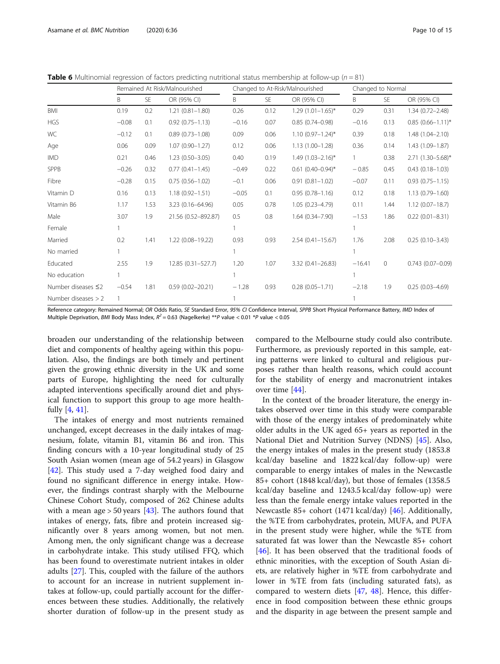<span id="page-9-0"></span>**Table 6** Multinomial regression of factors predicting nutritional status membership at follow-up ( $n = 81$ )

|                          | Remained At Risk/Malnourished |      | Changed to At-Risk/Malnourished |         |           | Changed to Normal      |          |              |                       |
|--------------------------|-------------------------------|------|---------------------------------|---------|-----------|------------------------|----------|--------------|-----------------------|
|                          | B                             | SE   | OR (95% CI)                     | Β       | <b>SE</b> | OR (95% CI)            | Β        | <b>SE</b>    | OR (95% CI)           |
| BMI                      | 0.19                          | 0.2  | $1.21(0.81 - 1.80)$             | 0.26    | 0.12      | $1.29(1.01-1.65)$ *    | 0.29     | 0.31         | $1.34(0.72 - 2.48)$   |
| <b>HGS</b>               | $-0.08$                       | 0.1  | $0.92(0.75 - 1.13)$             | $-0.16$ | 0.07      | $0.85(0.74 - 0.98)$    | $-0.16$  | 0.13         | $0.85(0.66 - 1.11)^*$ |
| WC                       | $-0.12$                       | 0.1  | $0.89(0.73 - 1.08)$             | 0.09    | 0.06      | $1.10(0.97 - 1.24)^*$  | 0.39     | 0.18         | $1.48(1.04 - 2.10)$   |
| Age                      | 0.06                          | 0.09 | $1.07(0.90 - 1.27)$             | 0.12    | 0.06      | $1.13(1.00-1.28)$      | 0.36     | 0.14         | $1.43(1.09 - 1.87)$   |
| <b>IMD</b>               | 0.21                          | 0.46 | $1.23(0.50 - 3.05)$             | 0.40    | 0.19      | $1.49$ (1.03-2.16)*    | 1        | 0.38         | 2.71 (1.30-5.68)*     |
| SPPB                     | $-0.26$                       | 0.32 | $0.77(0.41 - 1.45)$             | $-0.49$ | 0.22      | $0.61$ $(0.40-0.94)$ * | $-0.85$  | 0.45         | $0.43(0.18 - 1.03)$   |
| Fibre                    | $-0.28$                       | 0.15 | $0.75(0.56 - 1.02)$             | $-0.1$  | 0.06      | $0.91(0.81 - 1.02)$    | $-0.07$  | 0.11         | $0.93(0.75 - 1.15)$   |
| Vitamin D                | 0.16                          | 0.13 | $1.18(0.92 - 1.51)$             | $-0.05$ | 0.1       | $0.95(0.78 - 1.16)$    | 0.12     | 0.18         | $1.13(0.79 - 1.60)$   |
| Vitamin B6               | 1.17                          | 1.53 | 3.23 (0.16-64.96)               | 0.05    | 0.78      | $1.05(0.23 - 4.79)$    | 0.11     | 1.44         | $1.12(0.07 - 18.7)$   |
| Male                     | 3.07                          | 1.9  | 21.56 (0.52-892.87)             | 0.5     | 0.8       | $1.64(0.34 - 7.90)$    | $-1.53$  | 1.86         | $0.22(0.01 - 8.31)$   |
| Female                   |                               |      |                                 |         |           |                        |          |              |                       |
| Married                  | 0.2                           | 1.41 | 1.22 (0.08-19.22)               | 0.93    | 0.93      | $2.54(0.41 - 15.67)$   | 1.76     | 2.08         | $0.25(0.10-3.43)$     |
| No married               |                               |      |                                 |         |           |                        |          |              |                       |
| Educated                 | 2.55                          | 1.9  | 12.85 (0.31-527.7)              | 1.20    | 1.07      | $3.32(0.41 - 26.83)$   | $-16.41$ | $\mathbf{0}$ | $0.743(0.07 - 0.09)$  |
| No education             |                               |      |                                 |         |           |                        |          |              |                       |
| Number diseases $\leq$ 2 | $-0.54$                       | 1.81 | $0.59(0.02 - 20.21)$            | $-1.28$ | 0.93      | $0.28(0.05 - 1.71)$    | $-2.18$  | 1.9          | $0.25(0.03 - 4.69)$   |
| Number diseases $> 2$    |                               |      |                                 |         |           |                        |          |              |                       |

Reference category: Remained Normal; OR Odds Ratio, SE Standard Error, 95% CI Confidence Interval, SPPB Short Physical Performance Battery, IMD Index of Multiple Deprivation, BMI Body Mass Index,  $R^2 = 0.63$  (Nagelkerke) \*\*P value < 0.01 \*P value < 0.05

broaden our understanding of the relationship between diet and components of healthy ageing within this population. Also, the findings are both timely and pertinent given the growing ethnic diversity in the UK and some parts of Europe, highlighting the need for culturally adapted interventions specifically around diet and physical function to support this group to age more healthfully [[4](#page-13-0), [41](#page-14-0)].

The intakes of energy and most nutrients remained unchanged, except decreases in the daily intakes of magnesium, folate, vitamin B1, vitamin B6 and iron. This finding concurs with a 10-year longitudinal study of 25 South Asian women (mean age of 54.2 years) in Glasgow [[42\]](#page-14-0). This study used a 7-day weighed food dairy and found no significant difference in energy intake. However, the findings contrast sharply with the Melbourne Chinese Cohort Study, composed of 262 Chinese adults with a mean age  $> 50$  years [\[43\]](#page-14-0). The authors found that intakes of energy, fats, fibre and protein increased significantly over 8 years among women, but not men. Among men, the only significant change was a decrease in carbohydrate intake. This study utilised FFQ, which has been found to overestimate nutrient intakes in older adults [[27\]](#page-13-0). This, coupled with the failure of the authors to account for an increase in nutrient supplement intakes at follow-up, could partially account for the differences between these studies. Additionally, the relatively shorter duration of follow-up in the present study as

compared to the Melbourne study could also contribute. Furthermore, as previously reported in this sample, eating patterns were linked to cultural and religious purposes rather than health reasons, which could account for the stability of energy and macronutrient intakes over time [[44\]](#page-14-0).

In the context of the broader literature, the energy intakes observed over time in this study were comparable with those of the energy intakes of predominately white older adults in the UK aged 65+ years as reported in the National Diet and Nutrition Survey (NDNS) [[45\]](#page-14-0). Also, the energy intakes of males in the present study (1853.8 kcal/day baseline and 1822 kcal/day follow-up) were comparable to energy intakes of males in the Newcastle 85+ cohort (1848 kcal/day), but those of females (1358.5 kcal/day baseline and 1243.5 kcal/day follow-up) were less than the female energy intake values reported in the Newcastle 85+ cohort (1471 kcal/day) [[46](#page-14-0)]. Additionally, the %TE from carbohydrates, protein, MUFA, and PUFA in the present study were higher, while the %TE from saturated fat was lower than the Newcastle 85+ cohort [[46\]](#page-14-0). It has been observed that the traditional foods of ethnic minorities, with the exception of South Asian diets, are relatively higher in %TE from carbohydrate and lower in %TE from fats (including saturated fats), as compared to western diets [\[47](#page-14-0), [48\]](#page-14-0). Hence, this difference in food composition between these ethnic groups and the disparity in age between the present sample and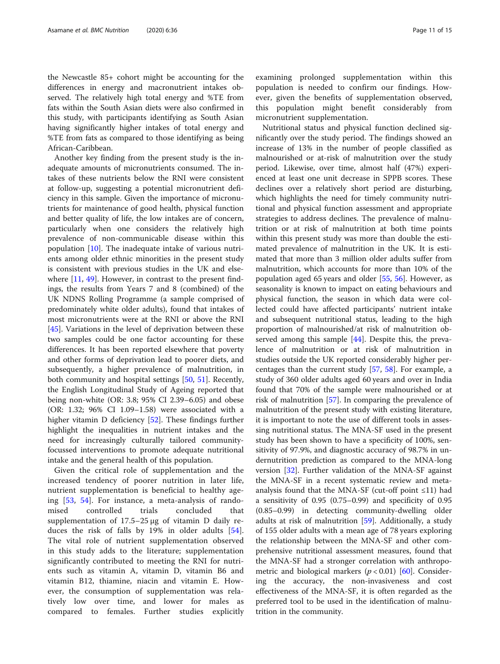the Newcastle 85+ cohort might be accounting for the differences in energy and macronutrient intakes observed. The relatively high total energy and %TE from fats within the South Asian diets were also confirmed in this study, with participants identifying as South Asian having significantly higher intakes of total energy and %TE from fats as compared to those identifying as being African-Caribbean.

Another key finding from the present study is the inadequate amounts of micronutrients consumed. The intakes of these nutrients below the RNI were consistent at follow-up, suggesting a potential micronutrient deficiency in this sample. Given the importance of micronutrients for maintenance of good health, physical function and better quality of life, the low intakes are of concern, particularly when one considers the relatively high prevalence of non-communicable disease within this population  $[10]$  $[10]$ . The inadequate intake of various nutrients among older ethnic minorities in the present study is consistent with previous studies in the UK and else-where [[11](#page-13-0), [49\]](#page-14-0). However, in contrast to the present findings, the results from Years 7 and 8 (combined) of the UK NDNS Rolling Programme (a sample comprised of predominately white older adults), found that intakes of most micronutrients were at the RNI or above the RNI [[45\]](#page-14-0). Variations in the level of deprivation between these two samples could be one factor accounting for these differences. It has been reported elsewhere that poverty and other forms of deprivation lead to poorer diets, and subsequently, a higher prevalence of malnutrition, in both community and hospital settings [[50,](#page-14-0) [51](#page-14-0)]. Recently, the English Longitudinal Study of Ageing reported that being non-white (OR: 3.8; 95% CI 2.39–6.05) and obese (OR: 1.32; 96% CI 1.09–1.58) were associated with a higher vitamin D deficiency [\[52\]](#page-14-0). These findings further highlight the inequalities in nutrient intakes and the need for increasingly culturally tailored communityfocussed interventions to promote adequate nutritional intake and the general health of this population.

Given the critical role of supplementation and the increased tendency of poorer nutrition in later life, nutrient supplementation is beneficial to healthy ageing [\[53](#page-14-0), [54\]](#page-14-0). For instance, a meta-analysis of randomised controlled trials concluded that supplementation of 17.5–25 μg of vitamin D daily reduces the risk of falls by 19% in older adults [\[54](#page-14-0)]. The vital role of nutrient supplementation observed in this study adds to the literature; supplementation significantly contributed to meeting the RNI for nutrients such as vitamin A, vitamin D, vitamin B6 and vitamin B12, thiamine, niacin and vitamin E. However, the consumption of supplementation was relatively low over time, and lower for males as compared to females. Further studies explicitly examining prolonged supplementation within this population is needed to confirm our findings. However, given the benefits of supplementation observed, this population might benefit considerably from micronutrient supplementation.

Nutritional status and physical function declined significantly over the study period. The findings showed an increase of 13% in the number of people classified as malnourished or at-risk of malnutrition over the study period. Likewise, over time, almost half (47%) experienced at least one unit decrease in SPPB scores. These declines over a relatively short period are disturbing, which highlights the need for timely community nutritional and physical function assessment and appropriate strategies to address declines. The prevalence of malnutrition or at risk of malnutrition at both time points within this present study was more than double the estimated prevalence of malnutrition in the UK. It is estimated that more than 3 million older adults suffer from malnutrition, which accounts for more than 10% of the population aged 65 years and older [\[55,](#page-14-0) [56](#page-14-0)]. However, as seasonality is known to impact on eating behaviours and physical function, the season in which data were collected could have affected participants' nutrient intake and subsequent nutritional status, leading to the high proportion of malnourished/at risk of malnutrition observed among this sample [\[44\]](#page-14-0). Despite this, the prevalence of malnutrition or at risk of malnutrition in studies outside the UK reported considerably higher percentages than the current study [\[57,](#page-14-0) [58](#page-14-0)]. For example, a study of 360 older adults aged 60 years and over in India found that 70% of the sample were malnourished or at risk of malnutrition [[57](#page-14-0)]. In comparing the prevalence of malnutrition of the present study with existing literature, it is important to note the use of different tools in assessing nutritional status. The MNA-SF used in the present study has been shown to have a specificity of 100%, sensitivity of 97.9%, and diagnostic accuracy of 98.7% in undernutrition prediction as compared to the MNA-long version [[32](#page-13-0)]. Further validation of the MNA-SF against the MNA-SF in a recent systematic review and metaanalysis found that the MNA-SF (cut-off point ≤11) had a sensitivity of 0.95 (0.75–0.99) and specificity of 0.95 (0.85–0.99) in detecting community-dwelling older adults at risk of malnutrition [\[59](#page-14-0)]. Additionally, a study of 155 older adults with a mean age of 78 years exploring the relationship between the MNA-SF and other comprehensive nutritional assessment measures, found that the MNA-SF had a stronger correlation with anthropometric and biological markers  $(p < 0.01)$  [\[60\]](#page-14-0). Considering the accuracy, the non-invasiveness and cost effectiveness of the MNA-SF, it is often regarded as the preferred tool to be used in the identification of malnutrition in the community.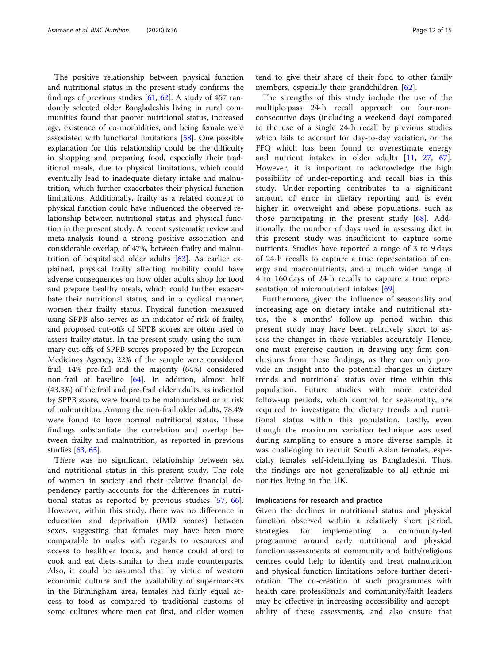The positive relationship between physical function and nutritional status in the present study confirms the findings of previous studies  $[61, 62]$  $[61, 62]$  $[61, 62]$  $[61, 62]$ . A study of 457 randomly selected older Bangladeshis living in rural communities found that poorer nutritional status, increased age, existence of co-morbidities, and being female were associated with functional limitations [\[58\]](#page-14-0). One possible explanation for this relationship could be the difficulty in shopping and preparing food, especially their traditional meals, due to physical limitations, which could eventually lead to inadequate dietary intake and malnutrition, which further exacerbates their physical function limitations. Additionally, frailty as a related concept to physical function could have influenced the observed relationship between nutritional status and physical function in the present study. A recent systematic review and meta-analysis found a strong positive association and considerable overlap, of 47%, between frailty and malnutrition of hospitalised older adults [[63](#page-14-0)]. As earlier explained, physical frailty affecting mobility could have adverse consequences on how older adults shop for food and prepare healthy meals, which could further exacerbate their nutritional status, and in a cyclical manner, worsen their frailty status. Physical function measured using SPPB also serves as an indicator of risk of frailty, and proposed cut-offs of SPPB scores are often used to assess frailty status. In the present study, using the summary cut-offs of SPPB scores proposed by the European Medicines Agency, 22% of the sample were considered frail, 14% pre-fail and the majority (64%) considered non-frail at baseline [\[64](#page-14-0)]. In addition, almost half (43.3%) of the frail and pre-frail older adults, as indicated by SPPB score, were found to be malnourished or at risk of malnutrition. Among the non-frail older adults, 78.4% were found to have normal nutritional status. These findings substantiate the correlation and overlap between frailty and malnutrition, as reported in previous studies [\[63,](#page-14-0) [65\]](#page-14-0).

There was no significant relationship between sex and nutritional status in this present study. The role of women in society and their relative financial dependency partly accounts for the differences in nutritional status as reported by previous studies [\[57](#page-14-0), [66](#page-14-0)]. However, within this study, there was no difference in education and deprivation (IMD scores) between sexes, suggesting that females may have been more comparable to males with regards to resources and access to healthier foods, and hence could afford to cook and eat diets similar to their male counterparts. Also, it could be assumed that by virtue of western economic culture and the availability of supermarkets in the Birmingham area, females had fairly equal access to food as compared to traditional customs of some cultures where men eat first, and older women

tend to give their share of their food to other family members, especially their grandchildren [[62\]](#page-14-0).

The strengths of this study include the use of the multiple-pass 24-h recall approach on four-nonconsecutive days (including a weekend day) compared to the use of a single 24-h recall by previous studies which fails to account for day-to-day variation, or the FFQ which has been found to overestimate energy and nutrient intakes in older adults [\[11](#page-13-0), [27,](#page-13-0) [67](#page-14-0)]. However, it is important to acknowledge the high possibility of under-reporting and recall bias in this study. Under-reporting contributes to a significant amount of error in dietary reporting and is even higher in overweight and obese populations, such as those participating in the present study [\[68](#page-14-0)]. Additionally, the number of days used in assessing diet in this present study was insufficient to capture some nutrients. Studies have reported a range of 3 to 9 days of 24-h recalls to capture a true representation of energy and macronutrients, and a much wider range of 4 to 160 days of 24-h recalls to capture a true repre-sentation of micronutrient intakes [[69\]](#page-14-0).

Furthermore, given the influence of seasonality and increasing age on dietary intake and nutritional status, the 8 months' follow-up period within this present study may have been relatively short to assess the changes in these variables accurately. Hence, one must exercise caution in drawing any firm conclusions from these findings, as they can only provide an insight into the potential changes in dietary trends and nutritional status over time within this population. Future studies with more extended follow-up periods, which control for seasonality, are required to investigate the dietary trends and nutritional status within this population. Lastly, even though the maximum variation technique was used during sampling to ensure a more diverse sample, it was challenging to recruit South Asian females, especially females self-identifying as Bangladeshi. Thus, the findings are not generalizable to all ethnic minorities living in the UK.

## Implications for research and practice

Given the declines in nutritional status and physical function observed within a relatively short period, strategies for implementing a community-led programme around early nutritional and physical function assessments at community and faith/religious centres could help to identify and treat malnutrition and physical function limitations before further deterioration. The co-creation of such programmes with health care professionals and community/faith leaders may be effective in increasing accessibility and acceptability of these assessments, and also ensure that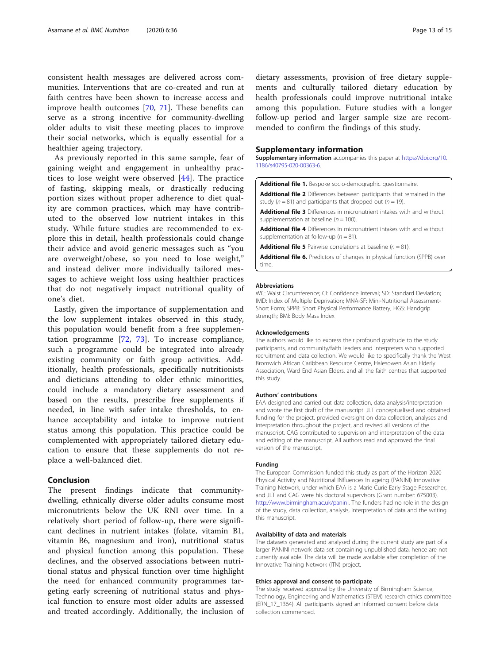<span id="page-12-0"></span>consistent health messages are delivered across communities. Interventions that are co-created and run at faith centres have been shown to increase access and improve health outcomes [\[70](#page-14-0), [71](#page-14-0)]. These benefits can serve as a strong incentive for community-dwelling older adults to visit these meeting places to improve their social networks, which is equally essential for a healthier ageing trajectory.

As previously reported in this same sample, fear of gaining weight and engagement in unhealthy practices to lose weight were observed [[44](#page-14-0)]. The practice of fasting, skipping meals, or drastically reducing portion sizes without proper adherence to diet quality are common practices, which may have contributed to the observed low nutrient intakes in this study. While future studies are recommended to explore this in detail, health professionals could change their advice and avoid generic messages such as "you are overweight/obese, so you need to lose weight," and instead deliver more individually tailored messages to achieve weight loss using healthier practices that do not negatively impact nutritional quality of one's diet.

Lastly, given the importance of supplementation and the low supplement intakes observed in this study, this population would benefit from a free supplementation programme [\[72](#page-14-0), [73](#page-14-0)]. To increase compliance, such a programme could be integrated into already existing community or faith group activities. Additionally, health professionals, specifically nutritionists and dieticians attending to older ethnic minorities, could include a mandatory dietary assessment and based on the results, prescribe free supplements if needed, in line with safer intake thresholds, to enhance acceptability and intake to improve nutrient status among this population. This practice could be complemented with appropriately tailored dietary education to ensure that these supplements do not replace a well-balanced diet.

## Conclusion

The present findings indicate that communitydwelling, ethnically diverse older adults consume most micronutrients below the UK RNI over time. In a relatively short period of follow-up, there were significant declines in nutrient intakes (folate, vitamin B1, vitamin B6, magnesium and iron), nutritional status and physical function among this population. These declines, and the observed associations between nutritional status and physical function over time highlight the need for enhanced community programmes targeting early screening of nutritional status and physical function to ensure most older adults are assessed and treated accordingly. Additionally, the inclusion of

dietary assessments, provision of free dietary supplements and culturally tailored dietary education by health professionals could improve nutritional intake among this population. Future studies with a longer follow-up period and larger sample size are recommended to confirm the findings of this study.

## Supplementary information

Supplementary information accompanies this paper at [https://doi.org/10.](https://doi.org/10.1186/s40795-020-00363-6) [1186/s40795-020-00363-6](https://doi.org/10.1186/s40795-020-00363-6).

Additional file 1. Bespoke socio-demographic questionnaire.

Additional file 2 Differences between participants that remained in the study ( $n = 81$ ) and participants that dropped out ( $n = 19$ ).

Additional file 3 Differences in micronutrient intakes with and without supplementation at baseline ( $n = 100$ ).

Additional file 4 Differences in micronutrient intakes with and without supplementation at follow-up ( $n = 81$ ).

**Additional file 5** Pairwise correlations at baseline  $(n = 81)$ .

Additional file 6. Predictors of changes in physical function (SPPB) over time.

#### Abbreviations

WC: Waist Circumference; CI: Confidence interval; SD: Standard Deviation; IMD: Index of Multiple Deprivation; MNA-SF: Mini-Nutritional Assessment-Short Form; SPPB: Short Physical Performance Battery; HGS: Handgrip strength; BMI: Body Mass Index

## Acknowledgements

The authors would like to express their profound gratitude to the study participants, and community/faith leaders and interpreters who supported recruitment and data collection. We would like to specifically thank the West Bromwich African Caribbean Resource Centre, Halesowen Asian Elderly Association, Ward End Asian Elders, and all the faith centres that supported this study.

#### Authors' contributions

EAA designed and carried out data collection, data analysis/interpretation and wrote the first draft of the manuscript. JLT conceptualised and obtained funding for the project, provided oversight on data collection, analyses and interpretation throughout the project, and revised all versions of the manuscript. CAG contributed to supervision and interpretation of the data and editing of the manuscript. All authors read and approved the final version of the manuscript.

#### Funding

The European Commission funded this study as part of the Horizon 2020 Physical Activity and Nutritional INfluences In ageing (PANINI) Innovative Training Network, under which EAA is a Marie Curie Early Stage Researcher, and JLT and CAG were his doctoral supervisors (Grant number: 675003). <http://www.birmingham.ac.uk/panini>. The funders had no role in the design of the study, data collection, analysis, interpretation of data and the writing this manuscript.

#### Availability of data and materials

The datasets generated and analysed during the current study are part of a larger PANINI network data set containing unpublished data, hence are not currently available. The data will be made available after completion of the Innovative Training Network (ITN) project.

## Ethics approval and consent to participate

The study received approval by the University of Birmingham Science, Technology, Engineering and Mathematics (STEM) research ethics committee (ERN\_17\_1364). All participants signed an informed consent before data collection commenced.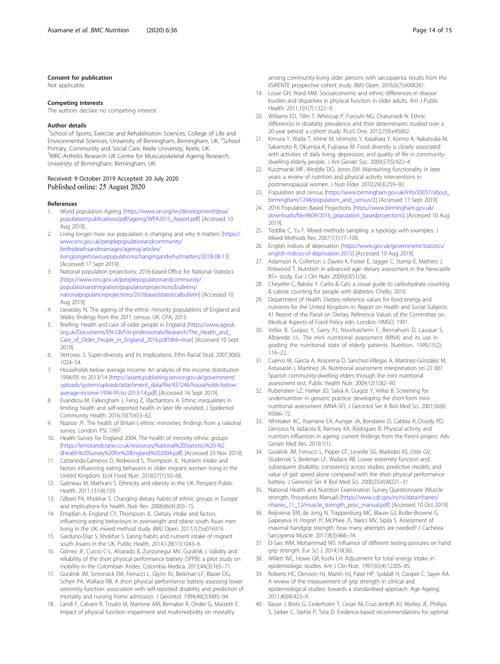## <span id="page-13-0"></span>Consent for publication

Not applicable.

#### Competing interests

The authors declare no competing interest.

### Author details

<sup>1</sup>School of Sports, Exercise and Rehabilitation Sciences, College of Life and Environmental Sciences, University of Birmingham, Birmingham, UK. <sup>2</sup>School Primary, Community and Social Care, Keele University, Keele, UK. <sup>3</sup>MRC-Arthritis Research UK Centre for Musculoskeletal Ageing Research, University of Birmingham, Birmingham, UK.

## Received: 9 October 2019 Accepted: 20 July 2020 Published online: 25 August 2020

### References

- 1. World population Ageing [[https://www.un.org/en/development/desa/](https://www.un.org/en/development/desa/population/publications/pdf/ageing/WPA2015_Report.pdf) [population/publications/pdf/ageing/WPA2015\\_Report.pdf\]](https://www.un.org/en/development/desa/population/publications/pdf/ageing/WPA2015_Report.pdf) [Accessed 10 Aug 2019]..
- 2. Living longer: how our population is changing and why it matters [[https://](https://www.ons.gov.uk/peoplepopulationandcommunity/birthsdeathsandmarriages/ageing/articles/livinglongerhowourpopulationischangingandwhyitmatters/2018-08-13) [www.ons.gov.uk/peoplepopulationandcommunity/](https://www.ons.gov.uk/peoplepopulationandcommunity/birthsdeathsandmarriages/ageing/articles/livinglongerhowourpopulationischangingandwhyitmatters/2018-08-13) [birthsdeathsandmarriages/ageing/articles/](https://www.ons.gov.uk/peoplepopulationandcommunity/birthsdeathsandmarriages/ageing/articles/livinglongerhowourpopulationischangingandwhyitmatters/2018-08-13) [livinglongerhowourpopulationischangingandwhyitmatters/2018-08-13](https://www.ons.gov.uk/peoplepopulationandcommunity/birthsdeathsandmarriages/ageing/articles/livinglongerhowourpopulationischangingandwhyitmatters/2018-08-13)] [Accessed 17 Sept 2019].
- 3. National population projections: 2016-based-Office for National Statistics [[https://www.ons.gov.uk/peoplepopulationandcommunity/](https://www.ons.gov.uk/peoplepopulationandcommunity/populationandmigration/populationprojections/bulletins/nationalpopulationprojections/2016basedstatisticalbulletin) [populationandmigration/populationprojections/bulletins/](https://www.ons.gov.uk/peoplepopulationandcommunity/populationandmigration/populationprojections/bulletins/nationalpopulationprojections/2016basedstatisticalbulletin) [nationalpopulationprojections/2016basedstatisticalbulletin](https://www.ons.gov.uk/peoplepopulationandcommunity/populationandmigration/populationprojections/bulletins/nationalpopulationprojections/2016basedstatisticalbulletin)] [Accessed 10 Aug 2019].
- 4. Lievesley N. The ageing of the ethnic minority populations of England and Wales: findings from the 2011 census. UK: CPA; 2013.
- 5. Briefing: Health and care of older people in England [\[https://www.ageuk.](https://www.ageuk.org.uk/Documents/EN-GB/For-professionals/Research/The_Health_and_Care_of_Older_People_in_England_2016.pdf?dtrk=true) [org.uk/Documents/EN-GB/For-professionals/Research/The\\_Health\\_and\\_](https://www.ageuk.org.uk/Documents/EN-GB/For-professionals/Research/The_Health_and_Care_of_Older_People_in_England_2016.pdf?dtrk=true) [Care\\_of\\_Older\\_People\\_in\\_England\\_2016.pdf?dtrk=true\]](https://www.ageuk.org.uk/Documents/EN-GB/For-professionals/Research/The_Health_and_Care_of_Older_People_in_England_2016.pdf?dtrk=true) [Accessed 10 Sept 2019].
- 6. Vertovec S. Super-diversity and its implications. Ethn Racial Stud. 2007;30(6): 1024–54.
- 7. Households below average income: An analysis of the income distribution 1994/95 to 2013/14 [[https://assets.publishing.service.gov.uk/government/](https://assets.publishing.service.gov.uk/government/uploads/system/uploads/attachment_data/file/437246/households-below-average-income-1994-95-to-2013-14.pdf) [uploads/system/uploads/attachment\\_data/file/437246/households-below](https://assets.publishing.service.gov.uk/government/uploads/system/uploads/attachment_data/file/437246/households-below-average-income-1994-95-to-2013-14.pdf)[average-income-1994-95-to-2013-14.pdf](https://assets.publishing.service.gov.uk/government/uploads/system/uploads/attachment_data/file/437246/households-below-average-income-1994-95-to-2013-14.pdf)] [Accessed 16 Sept 2019].
- 8. Evandrou M, Falkingham J, Feng Z, Vlachantoni A. Ethnic inequalities in limiting health and self-reported health in later life revisited. J Epidemiol Community Health. 2016;70(7):653–62.
- 9. Nazroo JY. The health of Britain's ethnic minorities: findings from a national survey. London: PSI: 1997.
- 10. Health Survey for England 2004. The health of minority ethnic groups [[https://lemosandcrane.co.uk/resources/National%20Statistics%20-%2](https://lemosandcrane.co.uk/resources/National%20Statistics%20-%20Health%20Survey%20for%20England%202004.pdf) [0Health%20Survey%20for%20England%202004.pdf\]](https://lemosandcrane.co.uk/resources/National%20Statistics%20-%20Health%20Survey%20for%20England%202004.pdf) [Accessed 23 Nov 2019].
- 11. Castaneda-Gameros D, Redwood S, Thompson JL. Nutrient intake and factors influencing eating behaviors in older migrant women living in the United Kingdom. Ecol Food Nutr. 2018;57(1):50–68.
- 12. Gatineau M, Mathrani S. Ethnicity and obesity in the UK. Perspect Public Health. 2011;131(4):159.
- 13. Gilbert PA, Khokhar S. Changing dietary habits of ethnic groups in Europe and implications for health. Nutr Rev. 2008;66(4):203–15.
- 14. Emadian A, England CY, Thompson JL. Dietary intake and factors influencing eating behaviours in overweight and obese south Asian men living in the UK: mixed method study. BMJ Open. 2017;7(7):e016919.
- 15. Garduno-Diaz S, Khokhar S. Eating habits and nutrient intake of migrant south Asians in the UK. Public Health. 2014;128(11):1043–6.
- 16. Gómez JF, Curcio C-L, Alvarado B, Zunzunegui MV, Guralnik J. Validity and reliability of the short physical performance battery (SPPB): a pilot study on mobility in the Colombian Andes. Colombia Medica. 2013;44(3):165–71.
- 17. Guralnik JM, Simonsick EM, Ferrucci L, Glynn RJ, Berkman LF, Blazer DG, Scherr PA, Wallace RB. A short physical performance battery assessing lower extremity function: association with self-reported disability and prediction of mortality and nursing home admission. J Gerontol. 1994;49(2):M85–94.
- 18. Landi F, Calvani R, Tosato M, Martone AM, Bernabei R, Onder G, Marzetti E. Impact of physical function impairment and multimorbidity on mortality

among community-living older persons with sarcopaenia: results from the ilSIRENTE prospective cohort study. BMJ Open. 2016;6(7):e008281.

- 19. Louie GH, Ward MM. Socioeconomic and ethnic differences in disease burden and disparities in physical function in older adults. Am J Public Health. 2011;101(7):1322–9.
- 20. Williams ED, Tillin T, Whincup P, Forouhi NG, Chaturvedi N. Ethnic differences in disability prevalence and their determinants studied over a 20-year period: a cohort study. PLoS One. 2012;7(9):e45602.
- 21. Kimura Y, Wada T, Ishine M, Ishimoto Y, Kasahara Y, Konno A, Nakatsuka M, Sakamoto R, Okumiya K, Fujisawa M. Food diversity is closely associated with activities of daily living, depression, and quality of life in communitydwelling elderly people. J Am Geriatr Soc. 2009;57(5):922–4.
- 22. Kuczmarski MF, Weddle DO, Jones EM. Maintaining functionality in later years: a review of nutrition and physical activity interventions in postmenopausal women. J Nutr Elder. 2010;29(3):259–92.
- 23. Population and census [[https://www.birmingham.gov.uk/info/20057/about\\_](https://www.birmingham.gov.uk/info/20057/about_birmingham/1294/population_and_census/2) [birmingham/1294/population\\_and\\_census/2](https://www.birmingham.gov.uk/info/20057/about_birmingham/1294/population_and_census/2)] [Accessed 17 Sept 2019].
- 24. 2016 Population Based Projections [\[https://www.birmingham.gov.uk/](https://www.birmingham.gov.uk/downloads/file/4609/2016_population_basedprojections) [downloads/file/4609/2016\\_population\\_basedprojections\]](https://www.birmingham.gov.uk/downloads/file/4609/2016_population_basedprojections) [Accessed 10 Aug 2019].
- 25. Teddlie C, Yu F. Mixed methods sampling: a typology with examples. J Mixed Methods Res. 2007;1(1):77–100.
- 26. English indices of deprivation [[https://www.gov.uk/government/statistics/](https://www.gov.uk/government/statistics/english-indices-of-deprivation-2015) [english-indices-of-deprivation-2015\]](https://www.gov.uk/government/statistics/english-indices-of-deprivation-2015) [Accessed 10 Aug 2019].
- 27. Adamson A, Collerton J, Davies K, Foster E, Jagger C, Stamp E, Mathers J, Kirkwood T. Nutrition in advanced age: dietary assessment in the Newcastle 85+ study. Eur J Clin Nutr. 2009;63(S1):S6.
- 28. Cheyette C, Balolia Y. Carbs & Cals: a visual guide to carbohydrate counting & calorie counting for people with diabetes: Chello; 2010.
- 29. Department of Health. Dietary reference values for food energy and nutrients for the United Kingdom in: Report on Health and Social Subjects 41 Report of the Panel on Dietary Reference Values of the Committee on Medical Aspects of Food Policy edn. London: HMSO; 1991.
- 30. Vellas B, Guigoz Y, Garry PJ, Nourhashemi F, Bennahum D, Lauque S, Albarede J-L. The mini nutritional assessment (MNA) and its use in grading the nutritional state of elderly patients. Nutrition. 1999;15(2): 116–22.
- 31. Cuervo M, García A, Ansorena D, Sanchez-Villegas A, Martínez-González M, Astiasarán I, Martínez JA. Nutritional assessment interpretation on 22 007 Spanish community-dwelling elders through the mini nutritional assessment test. Public Health Nutr. 2009;12(1):82–90.
- 32. Rubenstein LZ, Harker JO, Salvà A, Guigoz Y, Vellas B. Screening for undernutrition in geriatric practice: developing the short-form mininutritional assessment (MNA-SF). J Gerontol Ser A Biol Med Sci. 2001;56(6): M366–72.
- 33. Whittaker AC, Asamane EA, Aunger JA, Bondarev D, Cabbia A, Doody PD, Gensous N, Iadarola B, Ramsey KA, Rodrigues B. Physical activity and nutrition influences in ageing: current findings from the Panini project. Adv Geriatr Med Res. 2019;1(1)..
- 34. Guralnik JM, Ferrucci L, Pieper CF, Leveille SG, Markides KS, Ostir GV, Studenski S, Berkman LF, Wallace RB. Lower extremity function and subsequent disability: consistency across studies, predictive models, and value of gait speed alone compared with the short physical performance battery. J Gerontol Ser A Biol Med Sci. 2000;55(4):M221–31.
- 35. National Health and Nutrition Examination Survey Questionnaire (Muscle strength, Procedures Manual) [\[https://www.cdc.gov/nchs/data/nhanes/](https://www.cdc.gov/nchs/data/nhanes/nhanes_11_12/muscle_strength_proc_manual.pdf) [nhanes\\_11\\_12/muscle\\_strength\\_proc\\_manual.pdf\]](https://www.cdc.gov/nchs/data/nhanes/nhanes_11_12/muscle_strength_proc_manual.pdf) [Accessed 10 Oct 2019].
- 36. Reijnierse EM, de Jong N, Trappenburg MC, Blauw GJ, Butler-Browne G, Gapeyeva H, Hogrel JY, McPhee JS, Narici MV, Sipilä S. Assessment of maximal handgrip strength: how many attempts are needed? J Cachexia Sarcopenia Muscle. 2017;8(3):466–74.
- 37. El-Sais WM, Mohammad WS. Influence of different testing postures on hand grip strength. Eur Sci J. 2014;10(36).
- 38. Willett WC, Howe GR, Kushi LH. Adjustment for total energy intake in epidemiologic studies. Am J Clin Nutr. 1997;65(4):1220S–8S.
- 39. Roberts HC, Denison HJ, Martin HJ, Patel HP, Syddall H, Cooper C, Sayer AA. A review of the measurement of grip strength in clinical and epidemiological studies: towards a standardised approach. Age Ageing. 2011;40(4):423–9.
- 40. Bauer J, Biolo G, Cederholm T, Cesari M, Cruz-Jentoft AJ, Morley JE, Phillips S, Sieber C, Stehle P, Teta D. Evidence-based recommendations for optimal